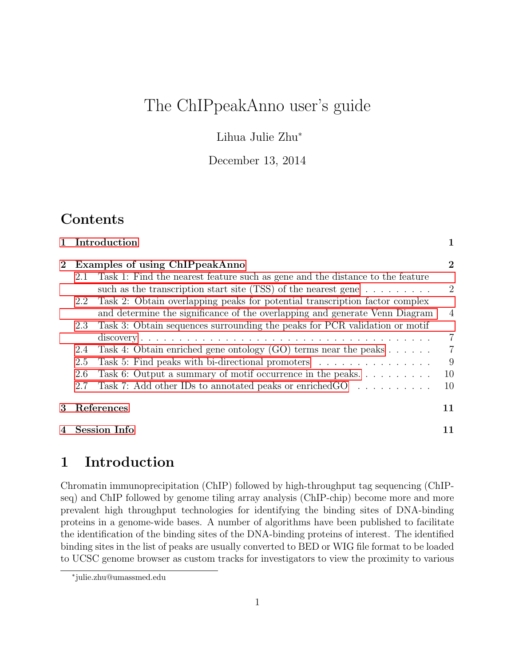# The ChIPpeakAnno user's guide

Lihua Julie Zhu<sup>∗</sup>

December 13, 2014

## **Contents**

|          | 1 Introduction                                                                                                                                                       | 1              |
|----------|----------------------------------------------------------------------------------------------------------------------------------------------------------------------|----------------|
| $\bf{2}$ | Examples of using ChIPpeakAnno                                                                                                                                       | $\overline{2}$ |
|          | Task 1: Find the nearest feature such as gene and the distance to the feature<br>2.1<br>such as the transcription start site (TSS) of the nearest gene $\dots \dots$ | $\overline{2}$ |
|          | Task 2: Obtain overlapping peaks for potential transcription factor complex<br>2.2<br>and determine the significance of the overlapping and generate Venn Diagram    | $\overline{4}$ |
|          | Task 3: Obtain sequences surrounding the peaks for PCR validation or motif<br>2.3                                                                                    | $\overline{7}$ |
|          | Task 4: Obtain enriched gene ontology (GO) terms near the peaks $\dots \dots$<br>2.4                                                                                 | $\overline{7}$ |
|          | Task 5: Find peaks with bi-directional promoters<br>2.5                                                                                                              | 9              |
|          | Task 6: Output a summary of motif occurrence in the peaks<br>2.6                                                                                                     | 10             |
|          | Task 7: Add other IDs to annotated peaks or enriched GO<br>2.7                                                                                                       | 10             |
| 3        | References                                                                                                                                                           | 11             |
|          | 4 Session Info                                                                                                                                                       | 11             |

## <span id="page-0-0"></span>1 Introduction

Chromatin immunoprecipitation (ChIP) followed by high-throughput tag sequencing (ChIPseq) and ChIP followed by genome tiling array analysis (ChIP-chip) become more and more prevalent high throughput technologies for identifying the binding sites of DNA-binding proteins in a genome-wide bases. A number of algorithms have been published to facilitate the identification of the binding sites of the DNA-binding proteins of interest. The identified binding sites in the list of peaks are usually converted to BED or WIG file format to be loaded to UCSC genome browser as custom tracks for investigators to view the proximity to various

<sup>∗</sup> julie.zhu@umassmed.edu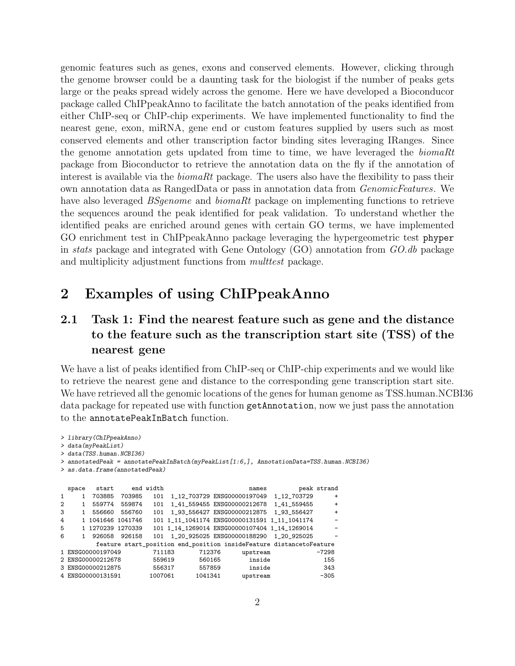genomic features such as genes, exons and conserved elements. However, clicking through the genome browser could be a daunting task for the biologist if the number of peaks gets large or the peaks spread widely across the genome. Here we have developed a Bioconducor package called ChIPpeakAnno to facilitate the batch annotation of the peaks identified from either ChIP-seq or ChIP-chip experiments. We have implemented functionality to find the nearest gene, exon, miRNA, gene end or custom features supplied by users such as most conserved elements and other transcription factor binding sites leveraging IRanges. Since the genome annotation gets updated from time to time, we have leveraged the biomaRt package from Bioconductor to retrieve the annotation data on the fly if the annotation of interest is available via the *biomaRt* package. The users also have the flexibility to pass their own annotation data as RangedData or pass in annotation data from GenomicFeatures. We have also leveraged *BSgenome* and *biomaRt* package on implementing functions to retrieve the sequences around the peak identified for peak validation. To understand whether the identified peaks are enriched around genes with certain GO terms, we have implemented GO enrichment test in ChIPpeakAnno package leveraging the hypergeometric test phyper in stats package and integrated with Gene Ontology (GO) annotation from GO.db package and multiplicity adjustment functions from *multtest* package.

## <span id="page-1-0"></span>2 Examples of using ChIPpeakAnno

### <span id="page-1-1"></span>2.1 Task 1: Find the nearest feature such as gene and the distance to the feature such as the transcription start site (TSS) of the nearest gene

We have a list of peaks identified from ChIP-seq or ChIP-chip experiments and we would like to retrieve the nearest gene and distance to the corresponding gene transcription start site. We have retrieved all the genomic locations of the genes for human genome as TSS.human.NCBI36 data package for repeated use with function getAnnotation, now we just pass the annotation to the annotatePeakInBatch function.

```
> library(ChIPpeakAnno)
> data(myPeakList)
> data(TSS.human.NCBI36)
> annotatedPeak = annotatePeakInBatch(myPeakList[1:6,], AnnotationData=TSS.human.NCBI36)
> as.data.frame(annotatedPeak)
  space start end_width names peak strand
1 1 703885 703985 101 1_12_703729 ENSG00000197049 1_12_703729 +
2 1 559774 559874 101 1_41_559455 ENSG00000212678 1_41_559455 +
3 1 556660 556760 101 1_93_556427 ENSG00000212875 1_93_556427 +
4 1 1041646 1041746 101 1_11_1041174 ENSG00000131591 1_11_1041174 -
5 1 1270239 1270339 101 1_14_1269014 ENSG00000107404 1_14_1269014 -
6 1 926058 926158 101 1_20_925025 ENSG00000188290 1_20_925025 -
        feature start_position end_position insideFeature distancetoFeature
1 ENSG00000197049 711183 712376 upstream -7298
2 ENSG00000212678 559619 560165 inside 155
3 ENSG00000212875
4 ENSG00000131591 1007061 1041341 upstream -305
```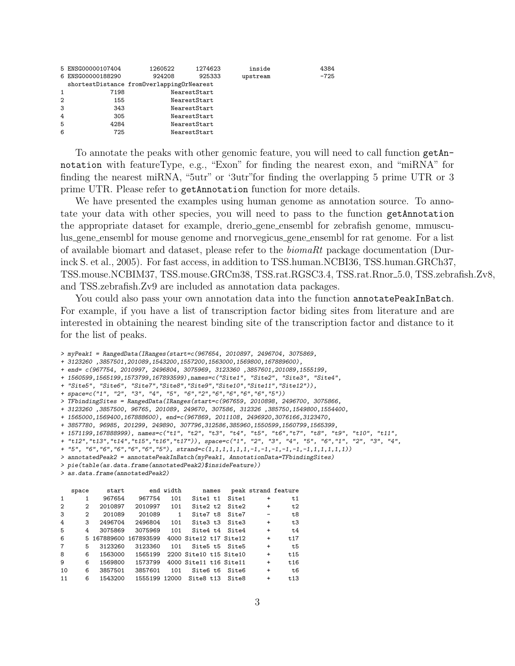|                | 5 ENSG00000107404                         | 1260522 | 1274623      | inside   | 4384   |
|----------------|-------------------------------------------|---------|--------------|----------|--------|
|                | 6 ENSG00000188290                         | 924208  | 925333       | upstream | $-725$ |
|                | shortestDistance fromOverlappingOrNearest |         |              |          |        |
| 1              | 7198                                      |         | NearestStart |          |        |
| $\overline{2}$ | 155                                       |         | NearestStart |          |        |
| 3              | 343                                       |         | NearestStart |          |        |
| 4              | 305                                       |         | NearestStart |          |        |
| 5              | 4284                                      |         | NearestStart |          |        |
| 6              | 725                                       |         | NearestStart |          |        |
|                |                                           |         |              |          |        |

To annotate the peaks with other genomic feature, you will need to call function getAnnotation with featureType, e.g., "Exon" for finding the nearest exon, and "miRNA" for finding the nearest miRNA, "5utr" or '3utr"for finding the overlapping 5 prime UTR or 3 prime UTR. Please refer to getAnnotation function for more details.

We have presented the examples using human genome as annotation source. To annotate your data with other species, you will need to pass to the function getAnnotation the appropriate dataset for example, drerio gene ensembl for zebrafish genome, mmusculus gene ensembl for mouse genome and rnorvegicus gene ensembl for rat genome. For a list of available biomart and dataset, please refer to the biomaRt package documentation (Durinck S. et al., 2005). For fast access, in addition to TSS.human.NCBI36, TSS.human.GRCh37, TSS.mouse.NCBIM37, TSS.mouse.GRCm38, TSS.rat.RGSC3.4, TSS.rat.Rnor 5.0, TSS.zebrafish.Zv8, and TSS.zebrafish.Zv9 are included as annotation data packages.

You could also pass your own annotation data into the function annotatePeakInBatch. For example, if you have a list of transcription factor biding sites from literature and are interested in obtaining the nearest binding site of the transcription factor and distance to it for the list of peaks.

```
> myPeak1 = RangedData(IRanges(start=c(967654, 2010897, 2496704, 3075869,
+ 3123260 ,3857501,201089,1543200,1557200,1563000,1569800,167889600),
+ end= c(967754, 2010997, 2496804, 3075969, 3123360 ,3857601,201089,1555199,
+ 1560599,1565199,1573799,167893599),names=c("Site1", "Site2", "Site3", "Site4",
+ "Site5", "Site6", "Site7","Site8","Site9","Site10","Site11","Site12")),
+ space=c("1", "2", "3", "4", "5", "6","2","6","6","6","6","5"))
> TFbindingSites = RangedData(IRanges(start=c(967659, 2010898, 2496700, 3075866,
+ 3123260 ,3857500, 96765, 201089, 249670, 307586, 312326 ,385750,1549800,1554400,
+ 1565000,1569400,167888600), end=c(967869, 2011108, 2496920,3076166,3123470,
+ 3857780, 96985, 201299, 249890, 307796,312586,385960,1550599,1560799,1565399,
+ 1571199,167888999), names=c("t1", "t2", "t3", "t4", "t5", "t6","t7", "t8", "t9", "t10", "t11",
+ "t12","t13","t14","t15","t16","t17")), space=c("1", "2", "3", "4", "5", "6","1", "2", "3", "4",
+ "5", "6","6","6","6","6","5"), strand=c(1,1,1,1,1,1,-1,-1,-1,-1,-1,-1,1,1,1,1,1))
> annotatedPeak2 = annotatePeakInBatch(myPeak1, AnnotationData=TFbindingSites)
> pie(table(as.data.frame(annotatedPeak2)$insideFeature))
> as.data.frame(annotatedPeak2)
   space start end width names peak strand feature
```

|                        | space                   | budit             | ena wracn       |     | names peak strand reature                    |           |       |
|------------------------|-------------------------|-------------------|-----------------|-----|----------------------------------------------|-----------|-------|
| $1 \quad \blacksquare$ | $1 \quad$               |                   | 967654 967754   |     | 101 Site1 t1 Site1                           | $\ddot{}$ | t1    |
|                        | $2 \t 2$                | 2010897           | 2010997         | 101 | Site2 t2 Site2                               | $+$       | t2    |
| 3                      | $\overline{\mathbf{2}}$ |                   | 201089 201089 1 |     | Site7 $t8$ Site7 -                           |           | t8    |
| 4                      |                         | 3 2496704 2496804 |                 | 101 | Site3 t3 Site3 $+$                           |           | t3    |
| 5                      | 4                       |                   | 3075869 3075969 |     | 101 Site4 t4 Site4                           | $+$       | t4    |
| 6                      |                         |                   |                 |     | 5 167889600 167893599 4000 Site12 t17 Site12 | $\ddot{}$ | t17   |
| $\overline{7}$         | 5                       | 3123260           |                 |     | 3123360 101 Site5 t5 Site5                   | $+$       | t5 t  |
| 8                      | 6                       |                   |                 |     | 1563000 1565199 2200 Site10 t15 Site10       | $\ddot{}$ | t15   |
| 9                      | 6                       |                   |                 |     | 1569800 1573799 4000 Site11 t16 Site11       | $+$       | t16   |
| 10                     | 6                       | 3857501           |                 |     | 3857601 101 Site6 t6 Site6                   | $+$       | t6 to |
| 11                     | 6                       | 1543200           |                 |     | 1555199 12000 Site8 t13 Site8                | $\ddot{}$ | t13   |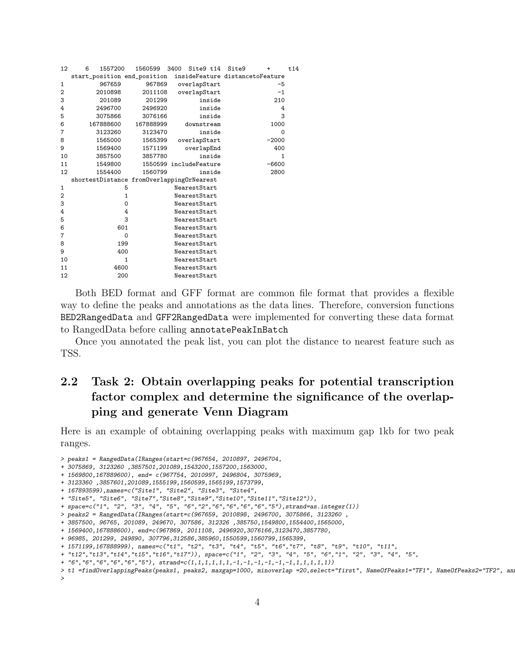| 12             | 1557200<br>6                              | 1560599                | 3400 | Site9 t14    |        | Site9                           | $\ddot{}$ | t14 |
|----------------|-------------------------------------------|------------------------|------|--------------|--------|---------------------------------|-----------|-----|
|                | start_position end_position               |                        |      |              |        | insideFeature distancetoFeature |           |     |
| 1              | 967659                                    | 967869                 |      | overlapStart |        |                                 | $-5$      |     |
| 2              | 2010898                                   | 2011108                |      | overlapStart |        |                                 | $-1$      |     |
| 3              | 201089                                    | 201299                 |      |              | inside |                                 | 210       |     |
| 4              | 2496700                                   | 2496920                |      |              | inside |                                 | 4         |     |
| 5              | 3075866                                   | 3076166                |      |              | inside |                                 | 3         |     |
| 6              | 167888600                                 | 167888999              |      | downstream   |        |                                 | 1000      |     |
| 7              | 3123260                                   | 3123470                |      |              | inside |                                 | $\Omega$  |     |
| 8              | 1565000                                   | 1565399                |      | overlapStart |        |                                 | $-2000$   |     |
| 9              | 1569400                                   | 1571199                |      | overlapEnd   |        |                                 | 400       |     |
| 10             | 3857500                                   | 3857780                |      |              | inside |                                 | 1         |     |
| 11             | 1549800                                   | 1550599 includeFeature |      |              |        |                                 | $-6600$   |     |
| 12             | 1554400                                   | 1560799                |      |              | inside |                                 | 2800      |     |
|                | shortestDistance fromOverlappingOrNearest |                        |      |              |        |                                 |           |     |
| 1              | 5                                         |                        |      | NearestStart |        |                                 |           |     |
| $\overline{2}$ | $\mathbf{1}$                              |                        |      | NearestStart |        |                                 |           |     |
| 3              | 0                                         |                        |      | NearestStart |        |                                 |           |     |
| 4              | 4                                         |                        |      | NearestStart |        |                                 |           |     |
| 5              | 3                                         |                        |      | NearestStart |        |                                 |           |     |
| 6              | 601                                       |                        |      | NearestStart |        |                                 |           |     |
| 7              | 0                                         |                        |      | NearestStart |        |                                 |           |     |
| 8              | 199                                       |                        |      | NearestStart |        |                                 |           |     |
| 9              | 400                                       |                        |      | NearestStart |        |                                 |           |     |
| 10             | $\mathbf{1}$                              |                        |      | NearestStart |        |                                 |           |     |
| 11             | 4600                                      |                        |      | NearestStart |        |                                 |           |     |
| 12             | 200                                       |                        |      | NearestStart |        |                                 |           |     |
|                |                                           |                        |      |              |        |                                 |           |     |

Both BED format and GFF format are common file format that provides a flexible way to define the peaks and annotations as the data lines. Therefore, conversion functions BED2RangedData and GFF2RangedData were implemented for converting these data format to RangedData before calling annotatePeakInBatch

Once you annotated the peak list, you can plot the distance to nearest feature such as TSS.

### <span id="page-3-0"></span>2.2 Task 2: Obtain overlapping peaks for potential transcription factor complex and determine the significance of the overlapping and generate Venn Diagram

Here is an example of obtaining overlapping peaks with maximum gap 1kb for two peak ranges.

<sup>&</sup>gt; peaks1 = RangedData(IRanges(start=c(967654, 2010897, 2496704,

<sup>+ 3075869, 3123260 ,3857501,201089,1543200,1557200,1563000,</sup>

<sup>+ 1569800,167889600),</sup> end= c(967754, 2010997, 2496804, 3075969,

<sup>+ 3123360 ,3857601,201089,1555199,1560599,1565199,1573799,</sup>

<sup>+ 167893599),</sup>names=c("Site1", "Site2", "Site3", "Site4",

<sup>+ &</sup>quot;Site5", "Site6", "Site7","Site8","Site9","Site10","Site11","Site12")),

<sup>+</sup> space=c("1", "2", "3", "4", "5", "6","2","6","6","6","6","5"),strand=as.integer(1))

<sup>&</sup>gt; peaks2 = RangedData(IRanges(start=c(967659, 2010898, 2496700, 3075866, 3123260 ,

<sup>+ 3857500, 96765, 201089, 249670, 307586, 312326 ,385750,1549800,1554400,1565000,</sup>

<sup>+ 1569400,167888600),</sup> end=c(967869, 2011108, 2496920,3076166,3123470,3857780,

<sup>+ 96985, 201299, 249890, 307796,312586,385960,1550599,1560799,1565399,</sup>

<sup>+ 1571199,167888999),</sup> names=c("t1", "t2", "t3", "t4", "t5", "t6","t7", "t8", "t9", "t10", "t11",

<sup>+ &</sup>quot;t12","t13","t14","t15","t16","t17")), space=c("1", "2", "3", "4", "5", "6","1", "2", "3", "4", "5",

<sup>+</sup>  $"6", "6", "6", "6", "6", "5"), strand=c(1,1,1,1,1,1,-1,-1,-1,-1,-1,1,1,1,1,1))$ 

<sup>&</sup>gt; t1 =findOverlappingPeaks(peaks1, peaks2, maxgap=1000, minoverlap =20,select="first", NameOfPeaks1="TF1", NameOfPeaks2="TF2", an >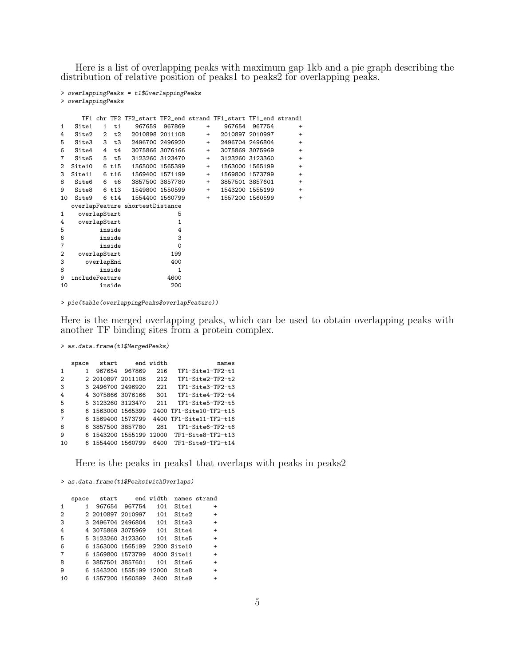Here is a list of overlapping peaks with maximum gap 1kb and a pie graph describing the distribution of relative position of peaks1 to peaks2 for overlapping peaks.

```
> overlappingPeaks = t1$OverlappingPeaks
> overlappingPeaks
    TF1 chr TF2 TF2_start TF2_end strand TF1_start TF1_end strand1
1 Site1 1 t1 967659 967869 + 967654 967754 +
4 Site2 2 t2 2010898 2011108 + 2010897 2010997 +
5 Site3 3 t3 2496700 2496920 + 2496704 2496804 +
6 Site4 4 t4 3075866 3076166 + 3075869 3075969 +
7 Site5 5 t5 3123260 3123470 + 3123260 3123360 +
2 Site10 6 t15 1565000 1565399 + 1563000 1565199 +
3 Site11 6 t16 1569400 1571199 + 1569800 1573799 +
8 Site6 6 t6 3857500 3857780 + 3857501 3857601 +
9 Site8 6 t13 1549800 1550599 + 1543200 1555199 +
10 Site9 6 t14 1554400 1560799 + 1557200 1560599 +
 overlapFeature shortestDistance
1 overlapStart 5<br>4 overlapStart 1
  overlapStart
5 inside 4
6 inside 3
7 inside 0<br>2 overlapStart 199
2 overlapStart
3 overlapEnd 400
8 inside 1
9 includeFeature 4600<br>10 inside 200
10 inside
```
> pie(table(overlappingPeaks\$overlapFeature))

Here is the merged overlapping peaks, which can be used to obtain overlapping peaks with another TF binding sites from a protein complex.

> as.data.frame(t1\$MergedPeaks)

| space |  |                                                                                                                                                                                       | names                                                        |
|-------|--|---------------------------------------------------------------------------------------------------------------------------------------------------------------------------------------|--------------------------------------------------------------|
| 1.    |  | 216                                                                                                                                                                                   | TF1-Site1-TF2-t1                                             |
|       |  | 212                                                                                                                                                                                   | TF1-Site2-TF2-t2                                             |
|       |  | 221                                                                                                                                                                                   | TF1-Site3-TF2-t3                                             |
|       |  | 301                                                                                                                                                                                   | TF1-Site4-TF2-t4                                             |
|       |  | 211                                                                                                                                                                                   | TF1-Site5-TF2-t5                                             |
|       |  |                                                                                                                                                                                       | 2400 TF1-Site10-TF2-t15                                      |
|       |  |                                                                                                                                                                                       | 4400 TF1-Site11-TF2-t16                                      |
|       |  | 281                                                                                                                                                                                   | TF1-Site6-TF2-t6                                             |
|       |  |                                                                                                                                                                                       |                                                              |
|       |  | 6400                                                                                                                                                                                  | TF1-Site9-TF2-t14                                            |
|       |  | 967654 967869<br>2 2010897 2011108<br>3 2496700 2496920<br>4 3075866 3076166<br>5 3123260 3123470<br>6 1563000 1565399<br>6 1569400 1573799<br>6 3857500 3857780<br>6 1554400 1560799 | start end width<br>6 1543200 1555199 12000 TF1-Site8-TF2-t13 |

Here is the peaks in peaks1 that overlaps with peaks in peaks2

> as.data.frame(t1\$Peaks1withOverlaps)

|              | space |                               | start end width |     |             | names strand |
|--------------|-------|-------------------------------|-----------------|-----|-------------|--------------|
| 1            |       |                               | 967654 967754   | 101 | Site1       | $\ddot{}$    |
| $\mathbf{2}$ |       | 2 2010897 2010997             |                 | 101 | Site2       | $\ddot{}$    |
| 3            |       | 3 2496704 2496804             |                 | 101 | Site3       | $\ddot{}$    |
| 4            |       | 4 3075869 3075969             |                 | 101 | Site4       | $\ddot{}$    |
| 5            |       | 5 3123260 3123360             |                 | 101 | Site5       | $\ddot{}$    |
| 6            |       | 6 1563000 1565199             |                 |     | 2200 Site10 | $\ddot{}$    |
| 7            |       | 6 1569800 1573799             |                 |     | 4000 Site11 | $\ddot{}$    |
| 8            |       | 6 3857501 3857601             |                 | 101 | Site6       | $\ddot{}$    |
| 9            |       | 6 1543200 1555199 12000 Site8 |                 |     |             | $\ddot{}$    |
| 10           |       | 6 1557200 1560599 3400        |                 |     | Site9       |              |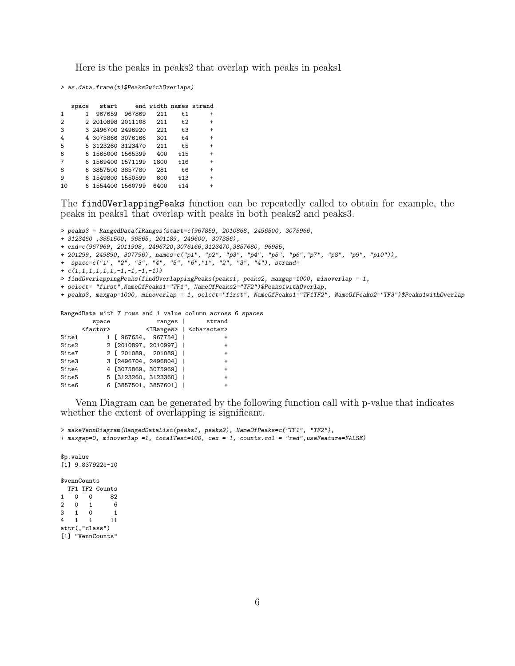Here is the peaks in peaks2 that overlap with peaks in peaks1

> as.data.frame(t1\$Peaks2withOverlaps)

|                | space |                   | start end width names strand |      |      |           |
|----------------|-------|-------------------|------------------------------|------|------|-----------|
| 1              |       |                   | 967659 967869                | 211  | t1   | $\ddot{}$ |
| $\overline{2}$ |       | 2 2010898 2011108 |                              | 211  | t2   | $\ddot{}$ |
| 3              |       | 3 2496700 2496920 |                              | 221  | t3   | $+$       |
| 4              |       | 4 3075866 3076166 |                              | 301  | t4   | $\ddot{}$ |
| 5              |       | 5 3123260 3123470 |                              | 211  | t5   | $\ddot{}$ |
| 6              |       | 6 1565000 1565399 |                              | 400  | t 15 | $\ddot{}$ |
| 7              |       | 6 1569400 1571199 |                              | 1800 | t 16 | $\ddot{}$ |
| 8              |       | 6 3857500 3857780 |                              | 281  | t6   | $\ddot{}$ |
| 9              |       | 6 1549800 1550599 |                              | 800  | t13  | $\ddot{}$ |
| 10             |       | 6 1554400 1560799 |                              | 6400 | t14  | $\ddot{}$ |

The findOVerlappingPeaks function can be repeatedly called to obtain for example, the peaks in peaks1 that overlap with peaks in both peaks2 and peaks3.

> peaks3 = RangedData(IRanges(start=c(967859, 2010868, 2496500, 3075966,

+ 3123460 ,3851500, 96865, 201189, 249600, 307386),

+ end=c(967969, 2011908, 2496720,3076166,3123470,3857680, 96985,

+ 201299, 249890, 307796), names=c("p1", "p2", "p3", "p4", "p5", "p6","p7", "p8", "p9", "p10")),

+ space=c("1", "2", "3", "4", "5", "6","1", "2", "3", "4"), strand=

 $+ c(1,1,1,1,1,1,-1,-1,-1,-1))$ 

> findOverlappingPeaks(findOverlappingPeaks(peaks1, peaks2, maxgap=1000, minoverlap = 1,

+ select= "first",NameOfPeaks1="TF1", NameOfPeaks2="TF2")\$Peaks1withOverlap,

+ peaks3, maxgap=1000, minoverlap = 1, select="first", NameOfPeaks1="TF1TF2", NameOfPeaks2="TF3")\$Peaks1withOverlap

RangedData with 7 rows and 1 value column across 6 spaces

| strand<br>ranges                              | space             |       |
|-----------------------------------------------|-------------------|-------|
| <iranges>   <character></character></iranges> | <factor></factor> |       |
| 1 [ 967654, 967754]                           |                   | Site1 |
| 2 [2010897, 2010997]  <br>$\ddot{}$           |                   | Site2 |
| 2 [ 201089, 201089]  <br>$\ddot{}$            |                   | Site7 |
| 3 [2496704, 2496804]  <br>$\ddot{}$           |                   | Site3 |
| 4 [3075869, 3075969]  <br>$\ddot{}$           |                   | Site4 |
| 5 [3123260, 3123360]  <br>$\ddot{}$           |                   | Site5 |
| 6 [3857501, 3857601]                          |                   | Site6 |
|                                               |                   |       |

Venn Diagram can be generated by the following function call with p-value that indicates whether the extent of overlapping is significant.

> makeVennDiagram(RangedDataList(peaks1, peaks2), NameOfPeaks=c("TF1", "TF2"), + maxgap=0, minoverlap =1, totalTest=100, cex = 1, counts.col = "red",useFeature=FALSE)

\$p.value  $\overline{11}$  9.837922e-10 \$vennCounts TF1 TF2 Counts 1 0 0 82<br>2 0 1 6  $\begin{array}{cccc} 2 & 0 & 1 & 6 \\ 3 & 1 & 0 & 1 \end{array}$ 3 1 0 1 4 1 1 11 attr(,"class") [1] "VennCounts"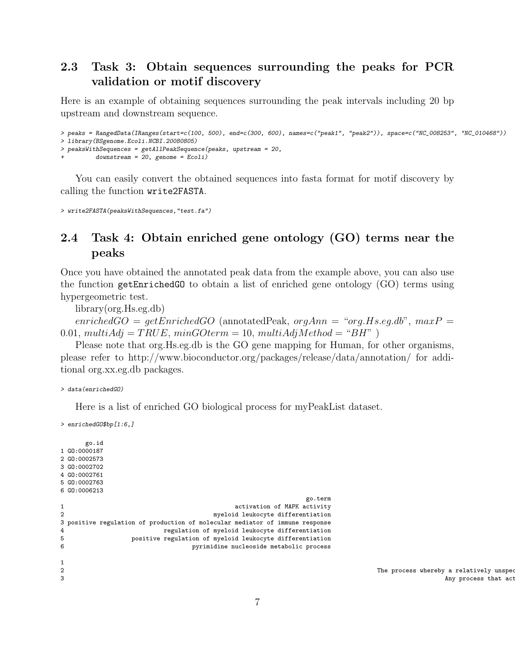#### <span id="page-6-0"></span>2.3 Task 3: Obtain sequences surrounding the peaks for PCR validation or motif discovery

Here is an example of obtaining sequences surrounding the peak intervals including 20 bp upstream and downstream sequence.

```
> peaks = RangedData(IRanges(start=c(100, 500), end=c(300, 600), names=c("peak1", "peak2")), space=c("NC_008253", "NC_010468"))
> library(BSgenome.Ecoli.NCBI.20080805)
> peaksWithSequences = getAllPeakSequence(peaks, upstream = 20,
          downstream = 20, genome = Ecoil)
```
You can easily convert the obtained sequences into fasta format for motif discovery by calling the function write2FASTA.

> write2FASTA(peaksWithSequences,"test.fa")

#### <span id="page-6-1"></span>2.4 Task 4: Obtain enriched gene ontology (GO) terms near the peaks

Once you have obtained the annotated peak data from the example above, you can also use the function getEnrichedGO to obtain a list of enriched gene ontology (GO) terms using hypergeometric test.

library(org.Hs.eg.db)

 $enrichedGO = getEnrichedGO$  (annotatedPeak,  $orgAnn = "org.Hs.eq.db", maxP =$ 0.01, multiAdj = TRUE, minGOterm = 10, multiAdjMethod = "BH" )

Please note that org.Hs.eg.db is the GO gene mapping for Human, for other organisms, please refer to http://www.bioconductor.org/packages/release/data/annotation/ for additional org.xx.eg.db packages.

> data(enrichedGO)

Here is a list of enriched GO biological process for myPeakList dataset.

> enrichedGO\$bp[1:6,]

```
go.id
1 GO:0000187
2 GO:0002573
3 GO:0002702
4 GO:0002761
5 GO:0002763
6 GO:0006213
                                             go.term
1 activation of MAPK activity
2 myeloid leukocyte differentiation
3 positive regulation of production of molecular mediator of immune response
4 regulation of myeloid leukocyte differentiation
5 positive regulation of myeloid leukocyte differentiation
6 pyrimidine nucleoside metabolic process
12 The process whereby a relatively unspecialized myeloid precursor cell actualized myeloid precess the myeloid leukocyte lineage.<br>Any process that actualized features of any cell of the myeloid leukocyte lineage.
```
3 Any process that activates or increases the frequency, rate, or extent of molecular mediator of molecular mediator of molecular mediator of molecular mediator of molecular mediator of molecular mediator of immune respons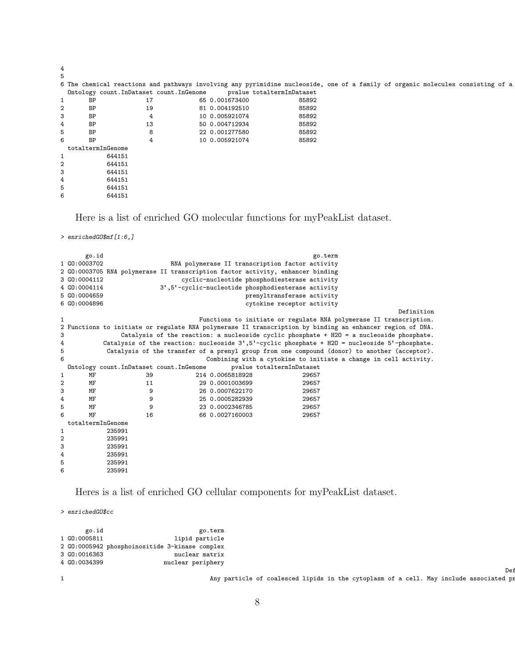|   |                   |                                           | 6 The chemical reactions and pathways involving any pyrimidine nucleoside, one of a family of organic molecules consisting of a |       |  |  |  |
|---|-------------------|-------------------------------------------|---------------------------------------------------------------------------------------------------------------------------------|-------|--|--|--|
|   |                   | Ontology count. InDataset count. InGenome | pvalue totaltermInDataset                                                                                                       |       |  |  |  |
|   | BP                | 17                                        | 65 0.001673400                                                                                                                  | 85892 |  |  |  |
|   | BP                | 19                                        | 81 0.004192510                                                                                                                  | 85892 |  |  |  |
|   | BP                |                                           | 10 0.005921074                                                                                                                  | 85892 |  |  |  |
|   | BP                | 13                                        | 50 0.004712934                                                                                                                  | 85892 |  |  |  |
|   | BP                |                                           | 22 0.001277580                                                                                                                  | 85892 |  |  |  |
|   | <b>BP</b>         |                                           | 10 0.005921074                                                                                                                  | 85892 |  |  |  |
|   | totaltermInGenome |                                           |                                                                                                                                 |       |  |  |  |
|   | 644151            |                                           |                                                                                                                                 |       |  |  |  |
|   | 644151            |                                           |                                                                                                                                 |       |  |  |  |
|   | 644151            |                                           |                                                                                                                                 |       |  |  |  |
| 4 | 644151            |                                           |                                                                                                                                 |       |  |  |  |
|   | 644151            |                                           |                                                                                                                                 |       |  |  |  |
| 6 | 644151            |                                           |                                                                                                                                 |       |  |  |  |

Here is a list of enriched GO molecular functions for myPeakList dataset.

```
> enrichedGO$mf[1:6,]
```

|   | go.id<br>1 GO:0003702<br>3 GO:0004112<br>4 GO:0004114<br>5 GO:0004659<br>6 GO:0004896 |                                           |                  | go.term<br>RNA polymerase II transcription factor activity<br>2 GO:0003705 RNA polymerase II transcription factor activity, enhancer binding<br>cyclic-nucleotide phosphodiesterase activity<br>3',5'-cyclic-nucleotide phosphodiesterase activity<br>prenyltransferase activity<br>cytokine receptor activity | Definition                                                                                                |
|---|---------------------------------------------------------------------------------------|-------------------------------------------|------------------|----------------------------------------------------------------------------------------------------------------------------------------------------------------------------------------------------------------------------------------------------------------------------------------------------------------|-----------------------------------------------------------------------------------------------------------|
| 1 |                                                                                       |                                           |                  |                                                                                                                                                                                                                                                                                                                | Functions to initiate or regulate RNA polymerase II transcription.                                        |
|   |                                                                                       |                                           |                  |                                                                                                                                                                                                                                                                                                                | 2 Functions to initiate or regulate RNA polymerase II transcription by binding an enhancer region of DNA. |
| 3 |                                                                                       |                                           |                  |                                                                                                                                                                                                                                                                                                                | Catalysis of the reaction: a nucleoside cyclic phosphate + H2O = a nucleoside phosphate.                  |
| 4 |                                                                                       |                                           |                  |                                                                                                                                                                                                                                                                                                                | Catalysis of the reaction: nucleoside 3', 5'-cyclic phosphate + H2O = nucleoside 5'-phosphate.            |
| 5 |                                                                                       |                                           |                  |                                                                                                                                                                                                                                                                                                                | Catalysis of the transfer of a prenyl group from one compound (donor) to another (acceptor).              |
| 6 |                                                                                       |                                           |                  |                                                                                                                                                                                                                                                                                                                | Combining with a cytokine to initiate a change in cell activity.                                          |
|   |                                                                                       | Ontology count. InDataset count. InGenome |                  | pvalue totaltermInDataset                                                                                                                                                                                                                                                                                      |                                                                                                           |
| 1 | МF                                                                                    | 39                                        | 214 0.0065818928 | 29657                                                                                                                                                                                                                                                                                                          |                                                                                                           |
| 2 | МF                                                                                    | 11                                        | 29 0.0001003699  | 29657                                                                                                                                                                                                                                                                                                          |                                                                                                           |
| 3 | MF                                                                                    | 9                                         | 26 0.0007622170  | 29657                                                                                                                                                                                                                                                                                                          |                                                                                                           |
| 4 | МF                                                                                    | 9                                         | 25 0.0005282939  | 29657                                                                                                                                                                                                                                                                                                          |                                                                                                           |
| 5 | MF                                                                                    | 9                                         | 23 0.0002346785  | 29657                                                                                                                                                                                                                                                                                                          |                                                                                                           |
| 6 | MF                                                                                    | 16                                        | 66 0.0027160003  | 29657                                                                                                                                                                                                                                                                                                          |                                                                                                           |
|   | totaltermInGenome                                                                     |                                           |                  |                                                                                                                                                                                                                                                                                                                |                                                                                                           |
| 1 |                                                                                       | 235991                                    |                  |                                                                                                                                                                                                                                                                                                                |                                                                                                           |
| 2 |                                                                                       | 235991                                    |                  |                                                                                                                                                                                                                                                                                                                |                                                                                                           |
| 3 |                                                                                       | 235991                                    |                  |                                                                                                                                                                                                                                                                                                                |                                                                                                           |
| 4 |                                                                                       | 235991                                    |                  |                                                                                                                                                                                                                                                                                                                |                                                                                                           |
| 5 |                                                                                       | 235991                                    |                  |                                                                                                                                                                                                                                                                                                                |                                                                                                           |
| 6 |                                                                                       | 235991                                    |                  |                                                                                                                                                                                                                                                                                                                |                                                                                                           |

Heres is a list of enriched GO cellular components for myPeakList dataset.

> enrichedGO\$cc

| go.id        | go.term                                        |
|--------------|------------------------------------------------|
| 1 GO:0005811 | lipid particle                                 |
|              | 2 GO:0005942 phosphoinositide 3-kinase complex |
| 3 GO:0016363 | nuclear matrix                                 |
| 4 GO:0034399 | nuclear periphery                              |

1 Any particle of coalesced lipids in the cytoplasm of a cell. May include associated proteins.

Dei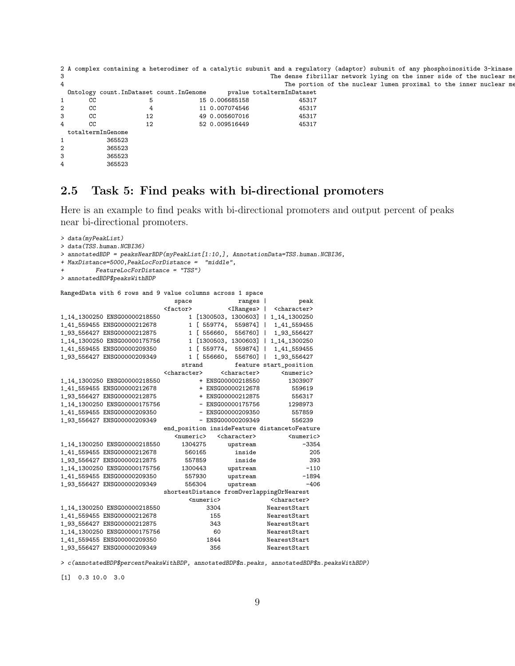```
2 A complex containing a heterodimer of a catalytic subunit and a regulatory (adaptor) subunit of any phosphoinositide 3-kinase
3 3 The dense fibrillar network lying on the inner side of the nuclear me
4 The portion of the nuclear lumen proximal to the inner nuclear me
 Ontology count.InDataset count.InGenome pvalue totaltermInDataset
1 CC 5 15 0.006685158 45317
2 CC 4 11 0.007074546 45317
\begin{array}{ccccccc}\n 3 & & & CC & & & 12 & & 49 & 0.005607016 & & & & 45317 \\
 4 & & & CC & & & 12 & & 52 & 0.009516449 & & & & 45317\n\end{array}4 CC 12 52 0.009516449
 totaltermInGenome
1 365523
2 365523
3 365523
4 365523
```
#### <span id="page-8-0"></span>2.5 Task 5: Find peaks with bi-directional promoters

Here is an example to find peaks with bi-directional promoters and output percent of peaks near bi-directional promoters.

```
> data(myPeakList)
> data(TSS.human.NCBI36)
> annotatedBDP = peaksNearBDP(myPeakList[1:10,], AnnotationData=TSS.human.NCBI36,
+ MaxDistance=5000,PeakLocForDistance = "middle",
        + FeatureLocForDistance = "TSS")
> annotatedBDP$peaksWithBDP
RangedData with 6 rows and 9 value columns across 1 space
                            space ranges | peak
                         <factor>
<IRanges>
| <character>
1_14_1300250 ENSG00000218550 1 [1300503, 1300603] | 1_14_1300250
1_41_559455 ENSG00000212678 1 [ 559774, 559874] | 1_41_559455
                               1 [ 556660, 556760] | 1_93_556427
1_14_1300250 ENSG00000175756 1 [1300503, 1300603] | 1_14_1300250
1_41_559455 ENSG00000209350 1 [ 559774, 559874] | 1_41_559455
1_93_556427 ENSG00000209349 1 [ 556660, 556760] | 1_93_556427
                             strand feature start_position
                         <character>
<character>
+ ENSG00000218550
+ ENSG00000218550
1\_14\_1300250 ENSG00000218550 + ENSG00000218550 1303907<br>1_41_559455 ENSG00000212678 + ENSG00000212678 559619
1_41_559455 ENSG00000212678 + ENSG00000212678 559619
1_93_556427 ENSG00000212875 + ENSG00000212875 556317
1_14_1300250 ENSG00000175756 - ENSG00000175756 1298973
1\_41\_559455 ENSG00000209350 - ENSG00000209350 557859<br>193556427 ENSG00000209349 - ENSG00000209349 556239
1_93_556427 ENSG00000209349
                         end_position insideFeature distancetoFeature
                            <numeric> <character> <numeric> <numeric> 1304275 upstream -3354
1_14_1300250 ENSG00000218550
1_41_559455 ENSG00000212678 560165 inside 205
1_93_556427 ENSG00000212875 557859 inside 393
1_14_1300250 ENSG00000175756 1300443 upstream -110
1_41_559455 ENSG00000209350 557930 upstream -1894
1_93_556427 ENSG00000209349
                         shortestDistance fromOverlappingOrNearest
                               <numeric> <character>
1_14_1300250 ENSG00000218550 3304 NearestStart
1_41_559455 ENSG00000212678 155 NearestStart
1_93_556427 ENSG00000212875 343 NearestStart
1_14_1300250 ENSG00000175756 60 NearestStart
1_41_559455 ENSG00000209350
1_93_556427 ENSG00000209349 356 NearestStart
```
> c(annotatedBDP\$percentPeaksWithBDP, annotatedBDP\$n.peaks, annotatedBDP\$n.peaksWithBDP)

[1] 0.3 10.0 3.0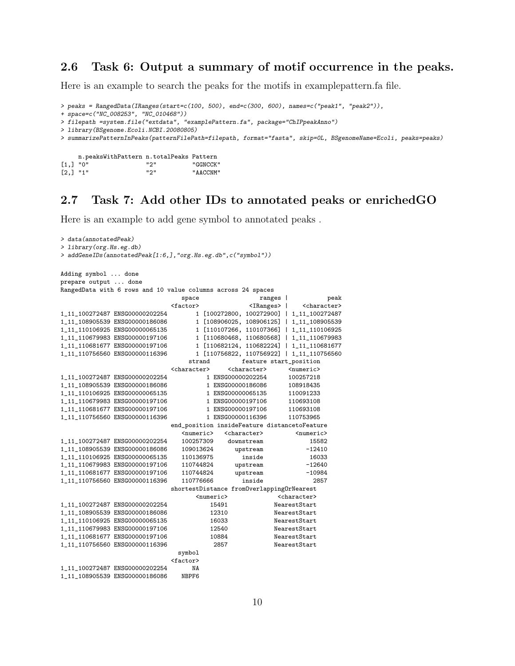#### <span id="page-9-0"></span>2.6 Task 6: Output a summary of motif occurrence in the peaks.

Here is an example to search the peaks for the motifs in examplepattern.fa file.

```
> peaks = RangedData(IRanges(start=c(100, 500), end=c(300, 600), names=c("peak1", "peak2")),
```

```
+ space=c("NC_008253", "NC_010468"))
```

```
> filepath =system.file("extdata", "examplePattern.fa", package="ChIPpeakAnno")
```

```
> library(BSgenome.Ecoli.NCBI.20080805)
```
> summarizePatternInPeaks(patternFilePath=filepath, format="fasta", skip=0L, BSgenomeName=Ecoli, peaks=peaks)

|            | n.peaksWithPattern n.totalPeaks Pattern |       |          |
|------------|-----------------------------------------|-------|----------|
| $[1,]$ "0" |                                         | "ລ"   | "GGNCCK" |
| $[2,]$ "1" |                                         | ייפיי | "AACCNM" |

#### <span id="page-9-1"></span>2.7 Task 7: Add other IDs to annotated peaks or enrichedGO

Here is an example to add gene symbol to annotated peaks .

```
> data(annotatedPeak)
> library(org.Hs.eg.db)
> addGeneIDs(annotatedPeak[1:6,],"org.Hs.eg.db",c("symbol"))
Adding symbol ... done
prepare output ... done
RangedData with 6 rows and 10 value columns across 24 spaces
                                  space ranges | peak
<factor>
<factor>
<factor>
<factor>
<factor>
<factor>
<factor>
<factor>
<factor>
<factor>
<factor>
<factor>
<factor>
<factor>
<factor>
<factor>
<factor>
<factor>
<factor>
<factor>
<factor>
<factor>
<factor>
<factor>
<facto
                                    1_11_100272487 ENSG00000202254 1 [100272800, 100272900] | 1_11_100272487
1_11_108905539 ENSG00000186086 1 [108906025, 108906125] | 1_11_108905539
                                     1 [110107266, 110107366] | 1_11_110106925
1_11_110679983 ENSG00000197106 1 [110680468, 110680568] | 1_11_110679983
1_11_110681677 ENSG00000197106 1 [110682124, 110682224] | 1_11_110681677
                                      1 [110756822, 110756922] | 1_11_110756560
                                    strand feature start_position
                               <character> <character> <numeric>
1\_11\_100272487 \begin{array}{l} \tt{ENSG00000202254} \end{array} \hspace{1.8cm} \begin{array}{l} 1 \ \tt{ENSG00000202254} \end{array} \hspace{1.8cm} \begin{array}{l} 100257218 \\ 1 \ \tt{INSG00000186086} \end{array} \hspace{1.8cm} \begin{array}{l} 100257218 \\ 108918435 \end{array}1\_11\_108905539 ENSG00000186086 108918435<br>1_11_110106925 ENSG00000065135 108918435 110091233
1_11_110106925 ENSG00000065135
1_11_110679983 ENSG00000197106 1 ENSG00000197106 110693108
1_11_110681677 ENSG00000197106 1 ENSG00000197106 110693108
1_11_110756560 ENSG00000116396 1 ENSG00000116396 110753965
                               end_position insideFeature distancetoFeature
                                   <numeric> <character> <numeric>
1_11_100272487 ENSG00000202254 100257309 downstream 15582
1_11_108905539 ENSG00000186086 109013624 upstream -12410
1_11_110106925 ENSG00000065135 110136975 inside 16033
1_11_110679983 ENSG00000197106 110744824 upstream -12640
1_11_110681677 ENSG00000197106 110744824 upstream -10984
1_11_110756560 ENSG00000116396 110776666 inside 2857
                               shortestDistance fromOverlappingOrNearest
                                      <numeric>
<character>
</br>
1_11_100272487 ENSG00000202254 15491 NearestStart<br>1_11_108905539 ENSG00000186086 12310 NearestStart
1_11_108905539 ENSG00000186086 12310 NearestStart
1_11_110106925 ENSG00000065135 16033 NearestStart
1_11_110679983 ENSG00000197106 12540 NearestStart
1_11_110681677 ENSG00000197106 10884 NearestStart
1_11_110756560 ENSG00000116396 2857 NearestStart
                                  symbol
                                <factor>
1_11_100272487 ENSG00000202254 NA
1_11_108905539 ENSG00000186086 NBPF6
```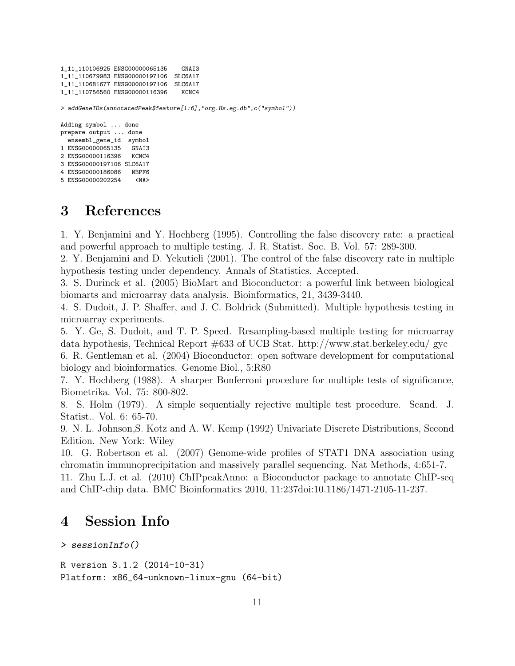```
1_11_110106925 ENSG00000065135 GNAI3
1_11_110679983 ENSG00000197106 SLC6A17
1_11_110681677 ENSG00000197106 SLC6A17
1_11_110756560 ENSG00000116396 KCNC4
> addGeneIDs(annotatedPeak$feature[1:6],"org.Hs.eg.db",c("symbol"))
Adding symbol ... done
prepare output ... done
 ensembl_gene_id symbol
1 ENSG00000065135 GNAI3
2 ENSG00000116396 KCNC4
3 ENSG00000197106 SLC6A17
4 ENSG00000186086 NBPF6
5 ENSG00000202254 <NA>
```
## <span id="page-10-0"></span>3 References

1. Y. Benjamini and Y. Hochberg (1995). Controlling the false discovery rate: a practical and powerful approach to multiple testing. J. R. Statist. Soc. B. Vol. 57: 289-300.

2. Y. Benjamini and D. Yekutieli (2001). The control of the false discovery rate in multiple hypothesis testing under dependency. Annals of Statistics. Accepted.

3. S. Durinck et al. (2005) BioMart and Bioconductor: a powerful link between biological biomarts and microarray data analysis. Bioinformatics, 21, 3439-3440.

4. S. Dudoit, J. P. Shaffer, and J. C. Boldrick (Submitted). Multiple hypothesis testing in microarray experiments.

5. Y. Ge, S. Dudoit, and T. P. Speed. Resampling-based multiple testing for microarray data hypothesis, Technical Report #633 of UCB Stat. http://www.stat.berkeley.edu/ gyc

6. R. Gentleman et al. (2004) Bioconductor: open software development for computational biology and bioinformatics. Genome Biol., 5:R80

7. Y. Hochberg (1988). A sharper Bonferroni procedure for multiple tests of significance, Biometrika. Vol. 75: 800-802.

8. S. Holm (1979). A simple sequentially rejective multiple test procedure. Scand. J. Statist.. Vol. 6: 65-70.

9. N. L. Johnson,S. Kotz and A. W. Kemp (1992) Univariate Discrete Distributions, Second Edition. New York: Wiley

10. G. Robertson et al. (2007) Genome-wide profiles of STAT1 DNA association using chromatin immunoprecipitation and massively parallel sequencing. Nat Methods, 4:651-7.

11. Zhu L.J. et al. (2010) ChIPpeakAnno: a Bioconductor package to annotate ChIP-seq and ChIP-chip data. BMC Bioinformatics 2010, 11:237doi:10.1186/1471-2105-11-237.

### <span id="page-10-1"></span>4 Session Info

```
> sessionInfo()
```

```
R version 3.1.2 (2014-10-31)
Platform: x86_64-unknown-linux-gnu (64-bit)
```